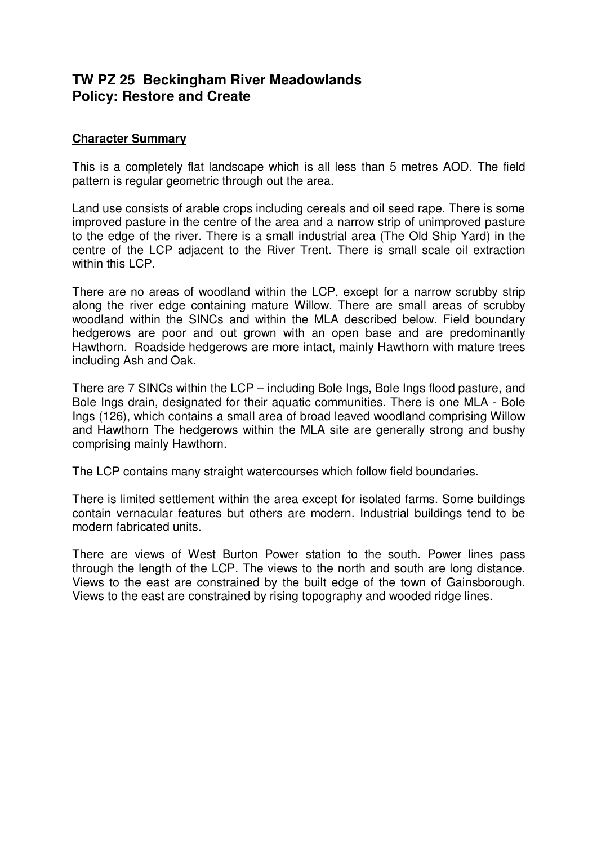# **TW PZ 25 Beckingham River Meadowlands Policy: Restore and Create**

## **Character Summary**

This is a completely flat landscape which is all less than 5 metres AOD. The field pattern is regular geometric through out the area.

Land use consists of arable crops including cereals and oil seed rape. There is some improved pasture in the centre of the area and a narrow strip of unimproved pasture to the edge of the river. There is a small industrial area (The Old Ship Yard) in the centre of the LCP adjacent to the River Trent. There is small scale oil extraction within this LCP.

There are no areas of woodland within the LCP, except for a narrow scrubby strip along the river edge containing mature Willow. There are small areas of scrubby woodland within the SINCs and within the MLA described below. Field boundary hedgerows are poor and out grown with an open base and are predominantly Hawthorn. Roadside hedgerows are more intact, mainly Hawthorn with mature trees including Ash and Oak.

There are 7 SINCs within the LCP – including Bole Ings, Bole Ings flood pasture, and Bole Ings drain, designated for their aquatic communities. There is one MLA - Bole Ings (126), which contains a small area of broad leaved woodland comprising Willow and Hawthorn The hedgerows within the MLA site are generally strong and bushy comprising mainly Hawthorn.

The LCP contains many straight watercourses which follow field boundaries.

There is limited settlement within the area except for isolated farms. Some buildings contain vernacular features but others are modern. Industrial buildings tend to be modern fabricated units.

There are views of West Burton Power station to the south. Power lines pass through the length of the LCP. The views to the north and south are long distance. Views to the east are constrained by the built edge of the town of Gainsborough. Views to the east are constrained by rising topography and wooded ridge lines.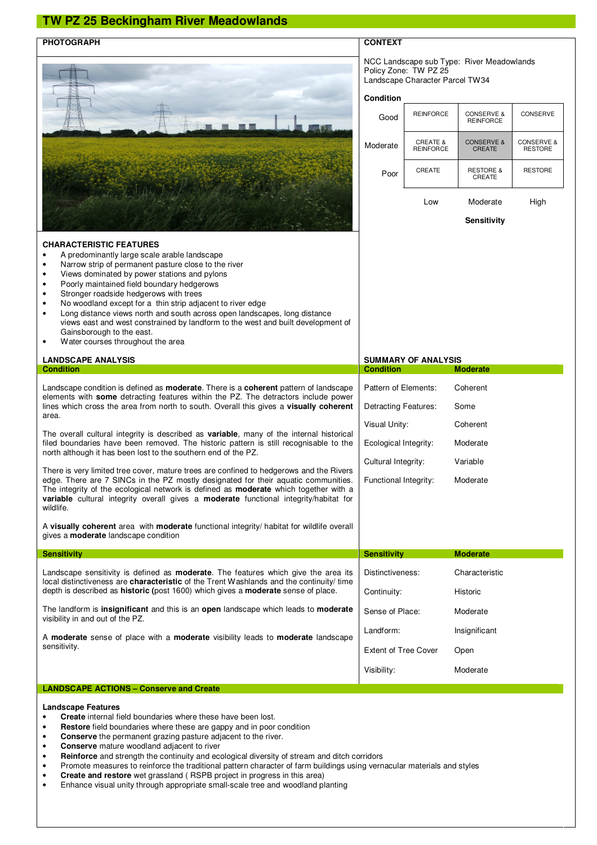## **TW PZ 25 Beckingham River Meadowlands**

#### **PHOTOGRAPH** CONTEXT NCC Landscape sub Type: River Meadowlands Policy Zone: TW PZ 25 Landscape Character Parcel TW34 **Condition**  Good REINFORCE CONSERVE & CONSERVE Moderate **CREATE &**<br>REINFORCE CONSERVE & CREATE CONSERVE & RESTORE Poor CREATE RESTORE & CREATE RESTORE **CHARACTERISTIC FEATURES**  • A predominantly large scale arable landscape • Narrow strip of permanent pasture close to the river • Views dominated by power stations and pylons • Poorly maintained field boundary hedgerows Stronger roadside hedgerows with trees • No woodland except for a thin strip adjacent to river edge • Long distance views north and south across open landscapes, long distance views east and west constrained by landform to the west and built development of Gainsborough to the east. Water courses throughout the area Low Moderate **Sensitivity** High **LANDSCAPE ANALYSIS**<br> **Condition**<br> **Condition**<br> **Condition**<br> **Condition**<br> **Condition Condition Condition Moderate**  Pattern of Elements: Coherent Detracting Features: Some Visual Unity: Coherent Ecological Integrity: Moderate Cultural Integrity: Variable Functional Integrity: Moderate Landscape condition is defined as **moderate**. There is a **coherent** pattern of landscape elements with **some** detracting features within the PZ. The detractors include power lines which cross the area from north to south. Overall this gives a **visually coherent** area. The overall cultural integrity is described as **variable**, many of the internal historical filed boundaries have been removed. The historic pattern is still recognisable to the north although it has been lost to the southern end of the PZ. There is very limited tree cover, mature trees are confined to hedgerows and the Rivers edge. There are 7 SINCs in the PZ mostly designated for their aquatic communities. The integrity of the ecological network is defined as **moderate** which together with a **variable** cultural integrity overall gives a **moderate** functional integrity/habitat for wildlife. A **visually coherent** area with **moderate** functional integrity/ habitat for wildlife overall gives a **moderate** landscape condition **Sensitivity Sensitivity Sensitivity Moderate**  Distinctiveness: Characteristic Continuity: Historic Sense of Place: Moderate Landform: Insignificant Extent of Tree Cover Open Visibility: Moderate Landscape sensitivity is defined as **moderate**. The features which give the area its local distinctiveness are **characteristic** of the Trent Washlands and the continuity/ time depth is described as **historic (**post 1600) which gives a **moderate** sense of place. The landform is **insignificant** and this is an **open** landscape which leads to **moderate** visibility in and out of the PZ. A **moderate** sense of place with a **moderate** visibility leads to **moderate** landscape sensitivity. **LANDSCAPE ACTIONS – Conserve and Create**

**Landscape Features** 

- **Create** internal field boundaries where these have been lost.
- **Restore** field boundaries where these are gappy and in poor condition
- **Conserve** the permanent grazing pasture adjacent to the river.
- **Conserve** mature woodland adjacent to river
- **Reinforce** and strength the continuity and ecological diversity of stream and ditch corridors
- Promote measures to reinforce the traditional pattern character of farm buildings using vernacular materials and styles
- **Create and restore** wet grassland ( RSPB project in progress in this area)
- Enhance visual unity through appropriate small-scale tree and woodland planting